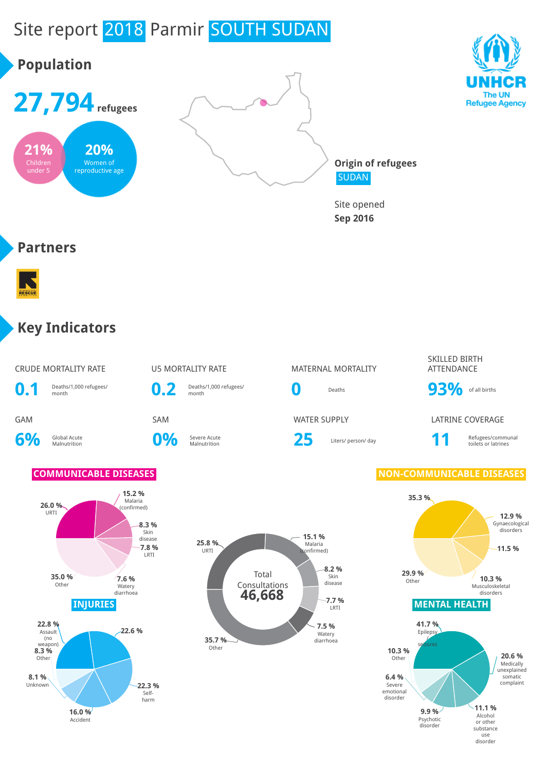# Site report 2018 Parmir SOUTH SUDAN



substance use disorder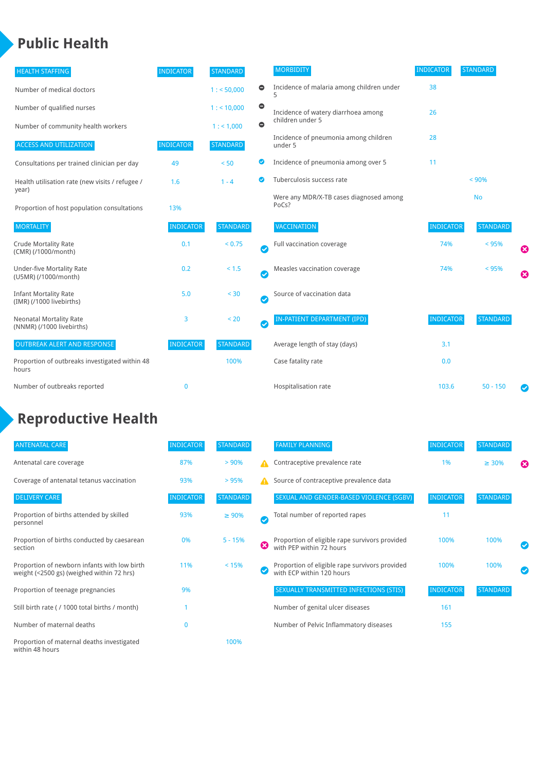#### **Public Health**

| <b>HEALTH STAFFING</b>                                      | <b>INDICATOR</b> | <b>STANDARD</b> |           | <b>MORBIDITY</b>                                 | <b>INDICATOR</b> | <b>STANDARD</b> |   |
|-------------------------------------------------------------|------------------|-----------------|-----------|--------------------------------------------------|------------------|-----------------|---|
| Number of medical doctors                                   |                  | 1: 50,000       | $\bullet$ | Incidence of malaria among children under        | 38               |                 |   |
| Number of qualified nurses                                  |                  | $1:$ < 10,000   | $\bullet$ | Incidence of watery diarrhoea among              | 26               |                 |   |
| Number of community health workers                          |                  | 1:1,000         | $\bullet$ | children under 5                                 |                  |                 |   |
| <b>ACCESS AND UTILIZATION</b>                               | <b>INDICATOR</b> | <b>STANDARD</b> |           | Incidence of pneumonia among children<br>under 5 | 28               |                 |   |
| Consultations per trained clinician per day                 | 49               | < 50            | ◎         | Incidence of pneumonia among over 5              | 11               |                 |   |
| Health utilisation rate (new visits / refugee /             | 1.6              | $1 - 4$         | ◙         | Tuberculosis success rate                        |                  | < 90%           |   |
| year)<br>Proportion of host population consultations        | 13%              |                 |           | Were any MDR/X-TB cases diagnosed among<br>PoCs? |                  | <b>No</b>       |   |
| <b>MORTALITY</b>                                            | <b>INDICATOR</b> | <b>STANDARD</b> |           | <b>VACCINATION</b>                               | <b>INDICATOR</b> | <b>STANDARD</b> |   |
| <b>Crude Mortality Rate</b><br>(CMR) (/1000/month)          | 0.1              | < 0.75          | Ø         | Full vaccination coverage                        | 74%              | < 95%           | Ø |
| <b>Under-five Mortality Rate</b><br>(U5MR) (/1000/month)    | 0.2              | < 1.5           | Ø         | Measles vaccination coverage                     | 74%              | < 95%           | Ø |
| <b>Infant Mortality Rate</b><br>(IMR) (/1000 livebirths)    | 5.0              | $30$            | Ø         | Source of vaccination data                       |                  |                 |   |
| <b>Neonatal Mortality Rate</b><br>(NNMR) (/1000 livebirths) | 3                | < 20            | Ø         | IN-PATIENT DEPARTMENT (IPD)                      | <b>INDICATOR</b> | <b>STANDARD</b> |   |
| <b>OUTBREAK ALERT AND RESPONSE</b>                          | <b>INDICATOR</b> | <b>STANDARD</b> |           | Average length of stay (days)                    | 3.1              |                 |   |
| Proportion of outbreaks investigated within 48<br>hours     |                  | 100%            |           | Case fatality rate                               | 0.0              |                 |   |
| Number of outbreaks reported                                | $\mathbf 0$      |                 |           | Hospitalisation rate                             | 103.6            | $50 - 150$      |   |

## **Reproductive Health**

| <b>ANTENATAL CARE</b>                                                                     | <b>INDICATOR</b> | <b>STANDARD</b> |               | <b>FAMILY PLANNING</b>                                                      | <b>INDICATOR</b> | <b>STANDARD</b> |                       |
|-------------------------------------------------------------------------------------------|------------------|-----------------|---------------|-----------------------------------------------------------------------------|------------------|-----------------|-----------------------|
| Antenatal care coverage                                                                   | 87%              | $> 90\%$        | A             | Contraceptive prevalence rate                                               | 1%               | $\geq 30\%$     | $\boldsymbol{\Omega}$ |
| Coverage of antenatal tetanus vaccination                                                 | 93%              | >95%            | А             | Source of contraceptive prevalence data                                     |                  |                 |                       |
| <b>DELIVERY CARE</b>                                                                      | <b>INDICATOR</b> | <b>STANDARD</b> |               | SEXUAL AND GENDER-BASED VIOLENCE (SGBV)                                     | <b>INDICATOR</b> | <b>STANDARD</b> |                       |
| Proportion of births attended by skilled<br>personnel                                     | 93%              | $\geq 90\%$     | $\bm{\sigma}$ | Total number of reported rapes                                              | 11               |                 |                       |
| Proportion of births conducted by caesarean<br>section                                    | 0%               | $5 - 15%$       | ☎             | Proportion of eligible rape survivors provided<br>with PEP within 72 hours  | 100%             | 100%            |                       |
| Proportion of newborn infants with low birth<br>weight (<2500 gs) (weighed within 72 hrs) | 11%              | < 15%           |               | Proportion of eligible rape survivors provided<br>with ECP within 120 hours | 100%             | 100%            |                       |
| Proportion of teenage pregnancies                                                         | 9%               |                 |               | SEXUALLY TRANSMITTED INFECTIONS (STIS)                                      | <b>INDICATOR</b> | <b>STANDARD</b> |                       |
| Still birth rate (/ 1000 total births / month)                                            |                  |                 |               | Number of genital ulcer diseases                                            | 161              |                 |                       |
| Number of maternal deaths                                                                 | $\mathbf 0$      |                 |               | Number of Pelvic Inflammatory diseases                                      | 155              |                 |                       |
| Proportion of maternal deaths investigated<br>within 48 hours                             |                  | 100%            |               |                                                                             |                  |                 |                       |